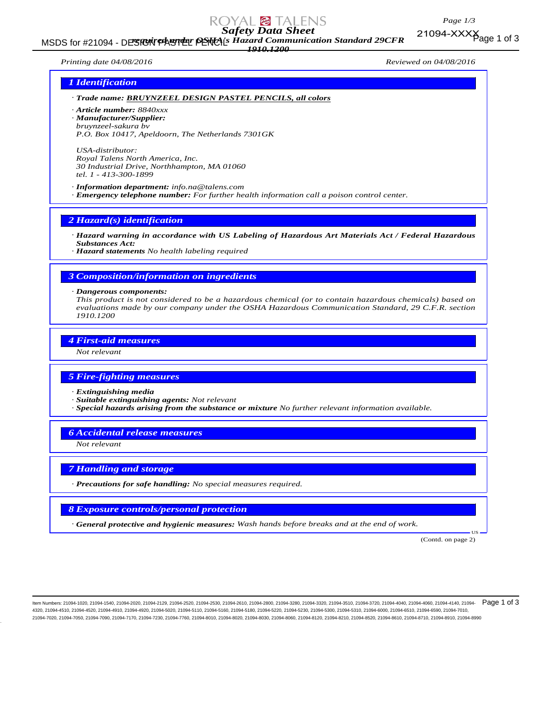

MSDS for #21094 - DESIGN PASTEL PENCIL's *Hazard Communication Standard 29CFR*<br>MSDS for #21094 - DESIGN PASTEL PENCIL's Hazard Communication Standard 29CFR *1910.1200*

 $21094-XXXX_{\text{age 1 of 3}}$ 

*Printing date 04/08/2016 Reviewed on 04/08/2016*

#### *1 Identification*

### *· Trade name: BRUYNZEEL DESIGN PASTEL PENCILS, all colors*

*· Article number: 8840xxx · Manufacturer/Supplier: bruynzeel-sakura bv P.O. Box 10417, Apeldoorn, The Netherlands 7301GK*

*USA-distributor: Royal Talens North America, Inc. 30 Industrial Drive, Northhampton, MA 01060 tel. 1 - 413-300-1899*

*· Information department: info.na@talens.com · Emergency telephone number: For further health information call a poison control center.*

*2 Hazard(s) identification*

*· Hazard warning in accordance with US Labeling of Hazardous Art Materials Act / Federal Hazardous Substances Act:*

*· Hazard statements No health labeling required*

#### *3 Composition/information on ingredients*

#### *· Dangerous components:*

*This product is not considered to be a hazardous chemical (or to contain hazardous chemicals) based on evaluations made by our company under the OSHA Hazardous Communication Standard, 29 C.F.R. section 1910.1200*

#### *4 First-aid measures*

*Not relevant*

#### *5 Fire-fighting measures*

*· Extinguishing media*

- *· Suitable extinguishing agents: Not relevant*
- *· Special hazards arising from the substance or mixture No further relevant information available.*

#### *6 Accidental release measures*

*Not relevant*

#### *7 Handling and storage*

*· Precautions for safe handling: No special measures required.*

#### *8 Exposure controls/personal protection*

*· General protective and hygienic measures: Wash hands before breaks and at the end of work.*

(Contd. on page 2)

US

Item Numbers: 21094-1020, 21094-1540, 21094-2020, 21094-2129, 21094-2520, 21094-2530, 21094-2610, 21094-2800, 21094-3280, 21094-3320, 21094-3510, 21094-3720, 21094-4040, 21094-4060, 21094-4140, 21094- 4320, 21094-4510, 21094-4520, 21094-4910, 21094-4920, 21094-5020, 21094-5110, 21094-5160, 21094-5180, 21094-5220, 21094-5230, 21094-5300, 21094-5310, 21094-6000, 21094-6510, 21094-6590, 21094-7010, 21094-7020, 21094-7050, 21094-7090, 21094-7170, 21094-7230, 21094-7760, 21094-8010, 21094-8020, 21094-8030, 21094-8060, 21094-8120, 21094-8210, 21094-8520, 21094-8610, 21094-8710, 21094-8910, 21094-8990 Page 1 of 3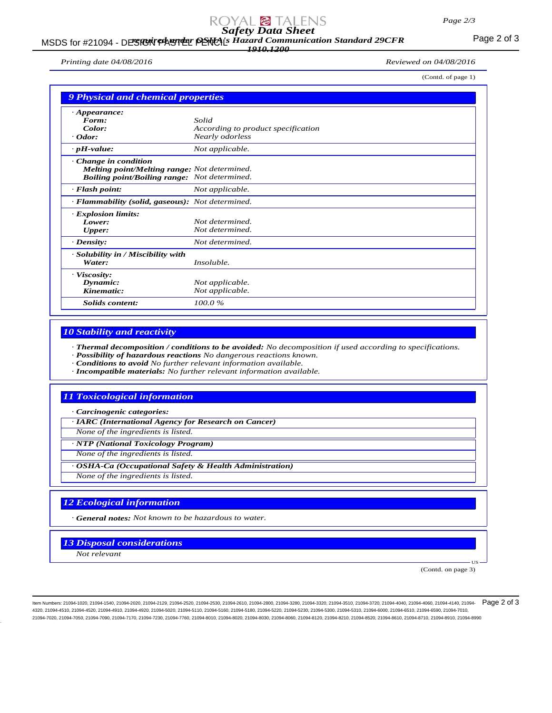## *Safety Data Sheet*

#### MSDS for #21094 - DESIGN PASTEL PENCIL's *Hazard Communication Standard 29CFR*<br>MSDS for #21094 - DESIGN PASTEL PENCIL'S Hazard Communication Standard 29CFR *1910.1200*

*Printing date 04/08/2016 Reviewed on 04/08/2016*

(Contd. of page 1)

| <b>9 Physical and chemical properties</b>           |                                    |  |
|-----------------------------------------------------|------------------------------------|--|
| $\cdot$ Appearance:                                 |                                    |  |
| Form:                                               | Solid                              |  |
| Color:                                              | According to product specification |  |
| $\cdot$ Odor:                                       | Nearly odorless                    |  |
| $\cdot$ pH-value:                                   | Not applicable.                    |  |
| $\cdot$ Change in condition                         |                                    |  |
| <b>Melting point/Melting range:</b> Not determined. |                                    |  |
| <b>Boiling point/Boiling range:</b> Not determined. |                                    |  |
| $\cdot$ Flash point:                                | Not applicable.                    |  |
| · Flammability (solid, gaseous): Not determined.    |                                    |  |
| · Explosion limits:                                 |                                    |  |
| Lower:                                              | Not determined.                    |  |
| <b>Upper:</b>                                       | Not determined.                    |  |
| $\cdot$ Density:                                    | Not determined.                    |  |
| · Solubility in / Miscibility with                  |                                    |  |
| Water:                                              | Insoluble.                         |  |
| · Viscosity:                                        |                                    |  |
| Dynamic:                                            | Not applicable.                    |  |
| Kinematic:                                          | Not applicable.                    |  |
| Solids content:                                     | 100.0%                             |  |

#### *10 Stability and reactivity*

*· Thermal decomposition / conditions to be avoided: No decomposition if used according to specifications.*

*· Possibility of hazardous reactions No dangerous reactions known.*

*· Conditions to avoid No further relevant information available.*

*· Incompatible materials: No further relevant information available.*

#### *11 Toxicological information*

*· Carcinogenic categories:*

*· IARC (International Agency for Research on Cancer)*

*None of the ingredients is listed.*

*· NTP (National Toxicology Program)*

*None of the ingredients is listed.*

*· OSHA-Ca (Occupational Safety & Health Administration)*

*None of the ingredients is listed.*

#### *12 Ecological information*

*· General notes: Not known to be hazardous to water.*

#### *13 Disposal considerations*

*Not relevant*

(Contd. on page 3)

US

Item Numbers: 21094-1020, 21094-1540, 21094-2020, 21094-2129, 21094-2520, 21094-2530, 21094-2610, 21094-2800, 21094-3280, 21094-3320, 21094-3510, 21094-3720, 21094-4040, 21094-4060, 21094-4140, 21094- Page 2 of 34320, 21094-4510, 21094-4520, 21094-4910, 21094-4920, 21094-5020, 21094-5110, 21094-5160, 21094-5180, 21094-5220, 21094-5230, 21094-5300, 21094-5310, 21094-6000, 21094-6510, 21094-6590, 21094-7010, 21094-7020, 21094-7050, 21094-7090, 21094-7170, 21094-7230, 21094-7760, 21094-8010, 21094-8020, 21094-8030, 21094-8060, 21094-8120, 21094-8210, 21094-8520, 21094-8610, 21094-8710, 21094-8910, 21094-8990